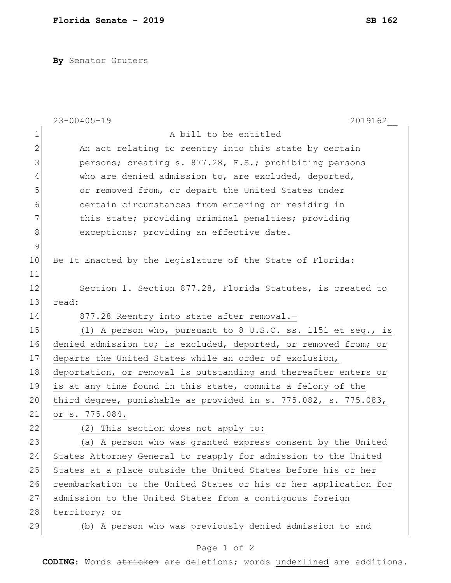**By** Senator Gruters

|              | 2019162<br>$23 - 00405 - 19$                                     |
|--------------|------------------------------------------------------------------|
| $\mathbf 1$  | A bill to be entitled                                            |
| $\mathbf{2}$ | An act relating to reentry into this state by certain            |
| 3            | persons; creating s. 877.28, F.S.; prohibiting persons           |
| 4            | who are denied admission to, are excluded, deported,             |
| 5            | or removed from, or depart the United States under               |
| 6            | certain circumstances from entering or residing in               |
| 7            | this state; providing criminal penalties; providing              |
| 8            | exceptions; providing an effective date.                         |
| 9            |                                                                  |
| 10           | Be It Enacted by the Legislature of the State of Florida:        |
| 11           |                                                                  |
| 12           | Section 1. Section 877.28, Florida Statutes, is created to       |
| 13           | read:                                                            |
| 14           | 877.28 Reentry into state after removal.-                        |
| 15           | (1) A person who, pursuant to 8 U.S.C. ss. 1151 et seq., is      |
| 16           | denied admission to; is excluded, deported, or removed from; or  |
| 17           | departs the United States while an order of exclusion,           |
| 18           | deportation, or removal is outstanding and thereafter enters or  |
| 19           | is at any time found in this state, commits a felony of the      |
| 20           | third degree, punishable as provided in s. 775.082, s. 775.083,  |
| 21           | or s. 775.084.                                                   |
| 22           | (2) This section does not apply to:                              |
| 23           | (a) A person who was granted express consent by the United       |
| 24           | States Attorney General to reapply for admission to the United   |
| 25           | States at a place outside the United States before his or her    |
| 26           | reembarkation to the United States or his or her application for |
| 27           | admission to the United States from a contiguous foreign         |
| 28           | territory; or                                                    |
| 29           | (b) A person who was previously denied admission to and          |
|              |                                                                  |

## Page 1 of 2

**CODING**: Words stricken are deletions; words underlined are additions.